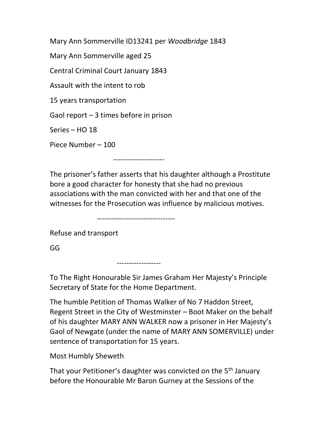Mary Ann Sommerville ID13241 per Woodbridge 1843

Mary Ann Sommerville aged 25

Central Criminal Court January 1843

Assault with the intent to rob

15 years transportation

Gaol report – 3 times before in prison

Series – HO 18

Piece Number – 100

The prisoner's father asserts that his daughter although a Prostitute bore a good character for honesty that she had no previous associations with the man convicted with her and that one of the witnesses for the Prosecution was influence by malicious motives.

--------------------------------

------------------

---------------------

Refuse and transport

GG

To The Right Honourable Sir James Graham Her Majesty's Principle Secretary of State for the Home Department.

The humble Petition of Thomas Walker of No 7 Haddon Street, Regent Street in the City of Westminster – Boot Maker on the behalf of his daughter MARY ANN WALKER now a prisoner in Her Majesty's Gaol of Newgate (under the name of MARY ANN SOMERVILLE) under sentence of transportation for 15 years.

Most Humbly Sheweth

That your Petitioner's daughter was convicted on the 5<sup>th</sup> January before the Honourable Mr Baron Gurney at the Sessions of the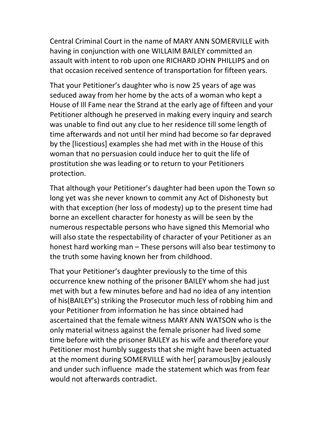Central Criminal Court in the name of MARY ANN SOMERVILLE with having in conjunction with one WILLAIM BAILEY committed an assault with intent to rob upon one RICHARD JOHN PHILLIPS and on that occasion received sentence of transportation for fifteen years.

That your Petitioner's daughter who is now 25 years of age was seduced away from her home by the acts of a woman who kept a House of Ill Fame near the Strand at the early age of fifteen and your Petitioner although he preserved in making every inquiry and search was unable to find out any clue to her residence till some length of time afterwards and not until her mind had become so far depraved by the [licestious] examples she had met with in the House of this woman that no persuasion could induce her to quit the life of prostitution she was leading or to return to your Petitioners protection.

That although your Petitioner's daughter had been upon the Town so long yet was she never known to commit any Act of Dishonesty but with that exception (her loss of modesty) up to the present time had borne an excellent character for honesty as will be seen by the numerous respectable persons who have signed this Memorial who will also state the respectability of character of your Petitioner as an honest hard working man – These persons will also bear testimony to the truth some having known her from childhood.

That your Petitioner's daughter previously to the time of this occurrence knew nothing of the prisoner BAILEY whom she had just met with but a few minutes before and had no idea of any intention of his(BAILEY's) striking the Prosecutor much less of robbing him and your Petitioner from information he has since obtained had ascertained that the female witness MARY ANN WATSON who is the only material witness against the female prisoner had lived some time before with the prisoner BAILEY as his wife and therefore your Petitioner most humbly suggests that she might have been actuated at the moment during SOMERVILLE with her[ paramous]by jealously and under such influence made the statement which was from fear would not afterwards contradict.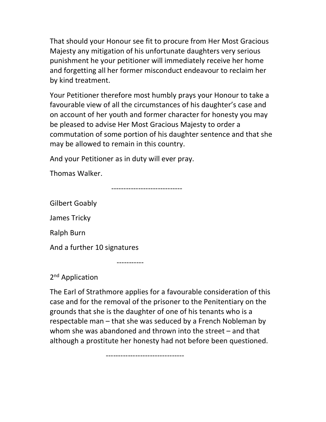That should your Honour see fit to procure from Her Most Gracious Majesty any mitigation of his unfortunate daughters very serious punishment he your petitioner will immediately receive her home and forgetting all her former misconduct endeavour to reclaim her by kind treatment.

Your Petitioner therefore most humbly prays your Honour to take a favourable view of all the circumstances of his daughter's case and on account of her youth and former character for honesty you may be pleased to advise Her Most Gracious Majesty to order a commutation of some portion of his daughter sentence and that she may be allowed to remain in this country.

And your Petitioner as in duty will ever pray.

Thomas Walker.

-----------------------------

Gilbert Goably

James Tricky

Ralph Burn

And a further 10 signatures

-----------

2<sup>nd</sup> Application

The Earl of Strathmore applies for a favourable consideration of this case and for the removal of the prisoner to the Penitentiary on the grounds that she is the daughter of one of his tenants who is a respectable man – that she was seduced by a French Nobleman by whom she was abandoned and thrown into the street – and that although a prostitute her honesty had not before been questioned.

--------------------------------